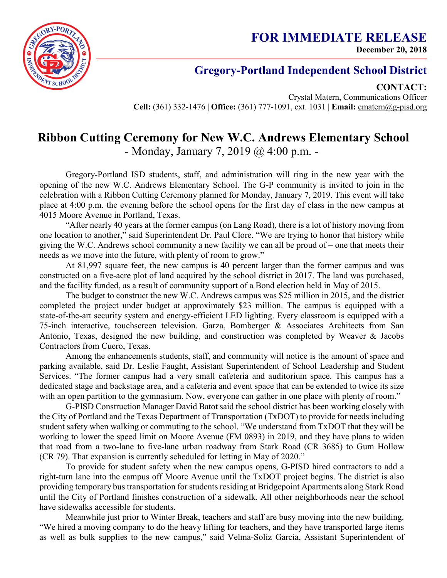## **Gregory-Portland Independent School District**

**CONTACT:**

Crystal Matern, Communications Officer **Cell:** (361) 332-1476 | **Office:** (361) 777-1091, ext. 1031 | **Email:** cmatern@g-pisd.org

## **Ribbon Cutting Ceremony for New W.C. Andrews Elementary School** - Monday, January 7, 2019 @ 4:00 p.m. -

Gregory-Portland ISD students, staff, and administration will ring in the new year with the opening of the new W.C. Andrews Elementary School. The G-P community is invited to join in the celebration with a Ribbon Cutting Ceremony planned for Monday, January 7, 2019. This event will take place at 4:00 p.m. the evening before the school opens for the first day of class in the new campus at 4015 Moore Avenue in Portland, Texas.

"After nearly 40 years at the former campus (on Lang Road), there is a lot of history moving from one location to another," said Superintendent Dr. Paul Clore. "We are trying to honor that history while giving the W.C. Andrews school community a new facility we can all be proud of – one that meets their needs as we move into the future, with plenty of room to grow."

At 81,997 square feet, the new campus is 40 percent larger than the former campus and was constructed on a five-acre plot of land acquired by the school district in 2017. The land was purchased, and the facility funded, as a result of community support of a Bond election held in May of 2015.

The budget to construct the new W.C. Andrews campus was \$25 million in 2015, and the district completed the project under budget at approximately \$23 million. The campus is equipped with a state-of-the-art security system and energy-efficient LED lighting. Every classroom is equipped with a 75-inch interactive, touchscreen television. Garza, Bomberger & Associates Architects from San Antonio, Texas, designed the new building, and construction was completed by Weaver & Jacobs Contractors from Cuero, Texas.

Among the enhancements students, staff, and community will notice is the amount of space and parking available, said Dr. Leslie Faught, Assistant Superintendent of School Leadership and Student Services. "The former campus had a very small cafeteria and auditorium space. This campus has a dedicated stage and backstage area, and a cafeteria and event space that can be extended to twice its size with an open partition to the gymnasium. Now, everyone can gather in one place with plenty of room."

G-PISD Construction Manager David Batot said the school district has been working closely with the City of Portland and the Texas Department of Transportation (TxDOT) to provide for needs including student safety when walking or commuting to the school. "We understand from TxDOT that they will be working to lower the speed limit on Moore Avenue (FM 0893) in 2019, and they have plans to widen that road from a two-lane to five-lane urban roadway from Stark Road (CR 3685) to Gum Hollow (CR 79). That expansion is currently scheduled for letting in May of 2020."

To provide for student safety when the new campus opens, G-PISD hired contractors to add a right-turn lane into the campus off Moore Avenue until the TxDOT project begins. The district is also providing temporary bus transportation for students residing at Bridgepoint Apartments along Stark Road until the City of Portland finishes construction of a sidewalk. All other neighborhoods near the school have sidewalks accessible for students.

Meanwhile just prior to Winter Break, teachers and staff are busy moving into the new building. "We hired a moving company to do the heavy lifting for teachers, and they have transported large items as well as bulk supplies to the new campus," said Velma-Soliz Garcia, Assistant Superintendent of